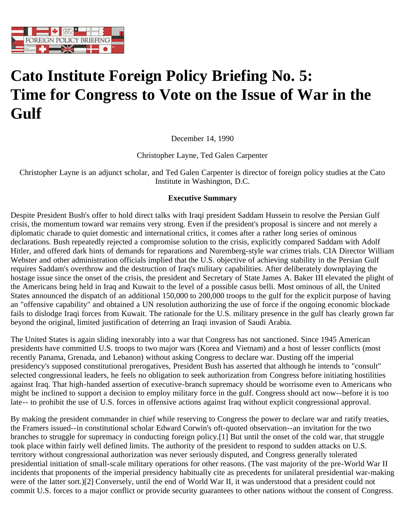

## **Cato Institute Foreign Policy Briefing No. 5: Time for Congress to Vote on the Issue of War in the Gulf**

December 14, 1990

Christopher Layne, Ted Galen Carpenter

Christopher Layne is an adjunct scholar, and Ted Galen Carpenter is director of foreign policy studies at the Cato Institute in Washington, D.C.

## **Executive Summary**

Despite President Bush's offer to hold direct talks with Iraqi president Saddam Hussein to resolve the Persian Gulf crisis, the momentum toward war remains very strong. Even if the president's proposal is sincere and not merely a diplomatic charade to quiet domestic and international critics, it comes after a rather long series of ominous declarations. Bush repeatedly rejected a compromise solution to the crisis, explicitly compared Saddam with Adolf Hitler, and offered dark hints of demands for reparations and Nuremberg-style war crimes trials. CIA Director William Webster and other administration officials implied that the U.S. objective of achieving stability in the Persian Gulf requires Saddam's overthrow and the destruction of Iraq's military capabilities. After deliberately downplaying the hostage issue since the onset of the crisis, the president and Secretary of State James A. Baker III elevated the plight of the Americans being held in Iraq and Kuwait to the level of a possible casus belli. Most ominous of all, the United States announced the dispatch of an additional 150,000 to 200,000 troops to the gulf for the explicit purpose of having an "offensive capability" and obtained a UN resolution authorizing the use of force if the ongoing economic blockade fails to dislodge Iraqi forces from Kuwait. The rationale for the U.S. military presence in the gulf has clearly grown far beyond the original, limited justification of deterring an Iraqi invasion of Saudi Arabia.

The United States is again sliding inexorably into a war that Congress has not sanctioned. Since 1945 American presidents have committed U.S. troops to two major wars (Korea and Vietnam) and a host of lesser conflicts (most recently Panama, Grenada, and Lebanon) without asking Congress to declare war. Dusting off the imperial presidency's supposed constitutional prerogatives, President Bush has asserted that although he intends to "consult" selected congressional leaders, he feels no obligation to seek authorization from Congress before initiating hostilities against Iraq. That high-handed assertion of executive-branch supremacy should be worrisome even to Americans who might be inclined to support a decision to employ military force in the gulf. Congress should act now--before it is too late-- to prohibit the use of U.S. forces in offensive actions against Iraq without explicit congressional approval.

By making the president commander in chief while reserving to Congress the power to declare war and ratify treaties, the Framers issued--in constitutional scholar Edward Corwin's oft-quoted observation--an invitation for the two branches to struggle for supremacy in conducting foreign policy.[1] But until the onset of the cold war, that struggle took place within fairly well defined limits. The authority of the president to respond to sudden attacks on U.S. territory without congressional authorization was never seriously disputed, and Congress generally tolerated presidential initiation of small-scale military operations for other reasons. (The vast majority of the pre-World War II incidents that proponents of the imperial presidency habitually cite as precedents for unilateral presidential war-making were of the latter sort.)[2] Conversely, until the end of World War II, it was understood that a president could not commit U.S. forces to a major conflict or provide security guarantees to other nations without the consent of Congress.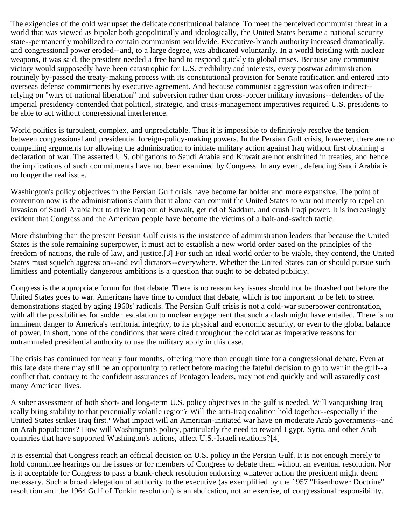The exigencies of the cold war upset the delicate constitutional balance. To meet the perceived communist threat in a world that was viewed as bipolar both geopolitically and ideologically, the United States became a national security state--permanently mobilized to contain communism worldwide. Executive-branch authority increased dramatically, and congressional power eroded--and, to a large degree, was abdicated voluntarily. In a world bristling with nuclear weapons, it was said, the president needed a free hand to respond quickly to global crises. Because any communist victory would supposedly have been catastrophic for U.S. credibility and interests, every postwar administration routinely by-passed the treaty-making process with its constitutional provision for Senate ratification and entered into overseas defense commitments by executive agreement. And because communist aggression was often indirect- relying on "wars of national liberation" and subversion rather than cross-border military invasions--defenders of the imperial presidency contended that political, strategic, and crisis-management imperatives required U.S. presidents to be able to act without congressional interference.

World politics is turbulent, complex, and unpredictable. Thus it is impossible to definitively resolve the tension between congressional and presidential foreign-policy-making powers. In the Persian Gulf crisis, however, there are no compelling arguments for allowing the administration to initiate military action against Iraq without first obtaining a declaration of war. The asserted U.S. obligations to Saudi Arabia and Kuwait are not enshrined in treaties, and hence the implications of such commitments have not been examined by Congress. In any event, defending Saudi Arabia is no longer the real issue.

Washington's policy objectives in the Persian Gulf crisis have become far bolder and more expansive. The point of contention now is the administration's claim that it alone can commit the United States to war not merely to repel an invasion of Saudi Arabia but to drive Iraq out of Kuwait, get rid of Saddam, and crush Iraqi power. It is increasingly evident that Congress and the American people have become the victims of a bait-and-switch tactic.

More disturbing than the present Persian Gulf crisis is the insistence of administration leaders that because the United States is the sole remaining superpower, it must act to establish a new world order based on the principles of the freedom of nations, the rule of law, and justice.[3] For such an ideal world order to be viable, they contend, the United States must squelch aggression--and evil dictators--everywhere. Whether the United States can or should pursue such limitless and potentially dangerous ambitions is a question that ought to be debated publicly.

Congress is the appropriate forum for that debate. There is no reason key issues should not be thrashed out before the United States goes to war. Americans have time to conduct that debate, which is too important to be left to street demonstrations staged by aging 1960s' radicals. The Persian Gulf crisis is not a cold-war superpower confrontation, with all the possibilities for sudden escalation to nuclear engagement that such a clash might have entailed. There is no imminent danger to America's territorial integrity, to its physical and economic security, or even to the global balance of power. In short, none of the conditions that were cited throughout the cold war as imperative reasons for untrammeled presidential authority to use the military apply in this case.

The crisis has continued for nearly four months, offering more than enough time for a congressional debate. Even at this late date there may still be an opportunity to reflect before making the fateful decision to go to war in the gulf--a conflict that, contrary to the confident assurances of Pentagon leaders, may not end quickly and will assuredly cost many American lives.

A sober assessment of both short- and long-term U.S. policy objectives in the gulf is needed. Will vanquishing Iraq really bring stability to that perennially volatile region? Will the anti-Iraq coalition hold together--especially if the United States strikes Iraq first? What impact will an American-initiated war have on moderate Arab governments--and on Arab populations? How will Washington's policy, particularly the need to reward Egypt, Syria, and other Arab countries that have supported Washington's actions, affect U.S.-Israeli relations?[4]

It is essential that Congress reach an official decision on U.S. policy in the Persian Gulf. It is not enough merely to hold committee hearings on the issues or for members of Congress to debate them without an eventual resolution. Nor is it acceptable for Congress to pass a blank-check resolution endorsing whatever action the president might deem necessary. Such a broad delegation of authority to the executive (as exemplified by the 1957 "Eisenhower Doctrine" resolution and the 1964 Gulf of Tonkin resolution) is an abdication, not an exercise, of congressional responsibility.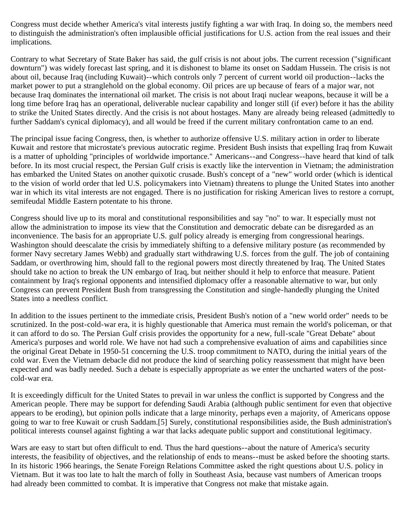Congress must decide whether America's vital interests justify fighting a war with Iraq. In doing so, the members need to distinguish the administration's often implausible official justifications for U.S. action from the real issues and their implications.

Contrary to what Secretary of State Baker has said, the gulf crisis is not about jobs. The current recession ("significant downturn") was widely forecast last spring, and it is dishonest to blame its onset on Saddam Hussein. The crisis is not about oil, because Iraq (including Kuwait)--which controls only 7 percent of current world oil production--lacks the market power to put a stranglehold on the global economy. Oil prices are up because of fears of a major war, not because Iraq dominates the international oil market. The crisis is not about Iraqi nuclear weapons, because it will be a long time before Iraq has an operational, deliverable nuclear capability and longer still (if ever) before it has the ability to strike the United States directly. And the crisis is not about hostages. Many are already being released (admittedly to further Saddam's cynical diplomacy), and all would be freed if the current military confrontation came to an end.

The principal issue facing Congress, then, is whether to authorize offensive U.S. military action in order to liberate Kuwait and restore that microstate's previous autocratic regime. President Bush insists that expelling Iraq from Kuwait is a matter of upholding "principles of worldwide importance." Americans--and Congress--have heard that kind of talk before. In its most crucial respect, the Persian Gulf crisis is exactly like the intervention in Vietnam; the administration has embarked the United States on another quixotic crusade. Bush's concept of a "new" world order (which is identical to the vision of world order that led U.S. policymakers into Vietnam) threatens to plunge the United States into another war in which its vital interests are not engaged. There is no justification for risking American lives to restore a corrupt, semifeudal Middle Eastern potentate to his throne.

Congress should live up to its moral and constitutional responsibilities and say "no" to war. It especially must not allow the administration to impose its view that the Constitution and democratic debate can be disregarded as an inconvenience. The basis for an appropriate U.S. gulf policy already is emerging from congressional hearings. Washington should deescalate the crisis by immediately shifting to a defensive military posture (as recommended by former Navy secretary James Webb) and gradually start withdrawing U.S. forces from the gulf. The job of containing Saddam, or overthrowing him, should fall to the regional powers most directly threatened by Iraq. The United States should take no action to break the UN embargo of Iraq, but neither should it help to enforce that measure. Patient containment by Iraq's regional opponents and intensified diplomacy offer a reasonable alternative to war, but only Congress can prevent President Bush from transgressing the Constitution and single-handedly plunging the United States into a needless conflict.

In addition to the issues pertinent to the immediate crisis, President Bush's notion of a "new world order" needs to be scrutinized. In the post-cold-war era, it is highly questionable that America must remain the world's policeman, or that it can afford to do so. The Persian Gulf crisis provides the opportunity for a new, full-scale "Great Debate" about America's purposes and world role. We have not had such a comprehensive evaluation of aims and capabilities since the original Great Debate in 1950-51 concerning the U.S. troop commitment to NATO, during the initial years of the cold war. Even the Vietnam debacle did not produce the kind of searching policy reassessment that might have been expected and was badly needed. Such a debate is especially appropriate as we enter the uncharted waters of the postcold-war era.

It is exceedingly difficult for the United States to prevail in war unless the conflict is supported by Congress and the American people. There may be support for defending Saudi Arabia (although public sentiment for even that objective appears to be eroding), but opinion polls indicate that a large minority, perhaps even a majority, of Americans oppose going to war to free Kuwait or crush Saddam.[5] Surely, constitutional responsibilities aside, the Bush administration's political interests counsel against fighting a war that lacks adequate public support and constitutional legitimacy.

Wars are easy to start but often difficult to end. Thus the hard questions--about the nature of America's security interests, the feasibility of objectives, and the relationship of ends to means--must be asked before the shooting starts. In its historic 1966 hearings, the Senate Foreign Relations Committee asked the right questions about U.S. policy in Vietnam. But it was too late to halt the march of folly in Southeast Asia, because vast numbers of American troops had already been committed to combat. It is imperative that Congress not make that mistake again.